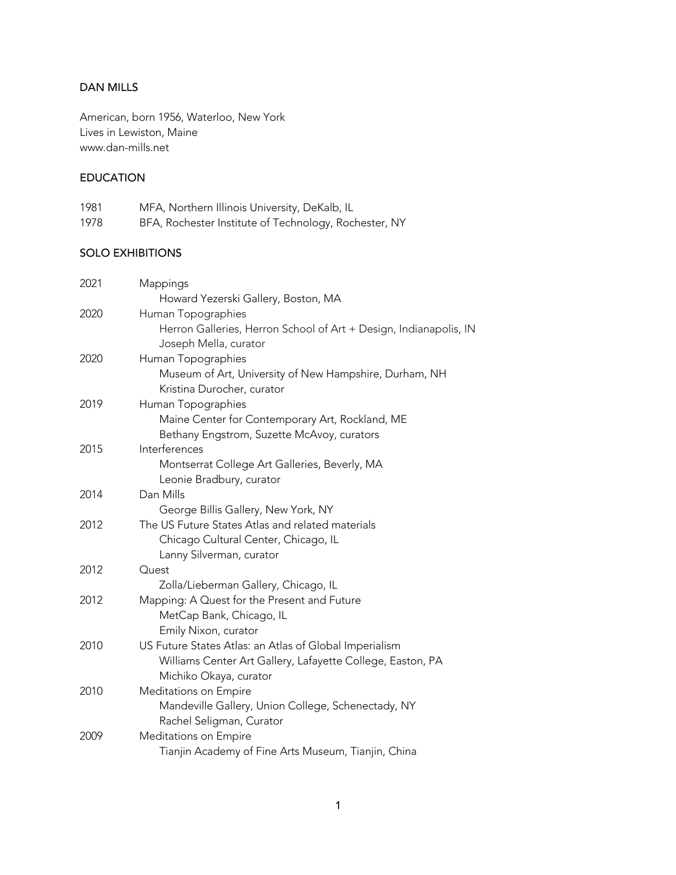# DAN MILLS

American, born 1956, Waterloo, New York Lives in Lewiston, Maine www.dan-mills.net

## EDUCATION

| 1981 | MFA, Northern Illinois University, DeKalb, IL         |
|------|-------------------------------------------------------|
| 1978 | BFA, Rochester Institute of Technology, Rochester, NY |

#### SOLO EXHIBITIONS

| 2021 | Mappings                                                          |
|------|-------------------------------------------------------------------|
|      | Howard Yezerski Gallery, Boston, MA                               |
| 2020 | Human Topographies                                                |
|      | Herron Galleries, Herron School of Art + Design, Indianapolis, IN |
|      | Joseph Mella, curator                                             |
| 2020 | Human Topographies                                                |
|      | Museum of Art, University of New Hampshire, Durham, NH            |
|      | Kristina Durocher, curator                                        |
| 2019 | Human Topographies                                                |
|      | Maine Center for Contemporary Art, Rockland, ME                   |
|      | Bethany Engstrom, Suzette McAvoy, curators                        |
| 2015 | Interferences                                                     |
|      | Montserrat College Art Galleries, Beverly, MA                     |
|      | Leonie Bradbury, curator                                          |
| 2014 | Dan Mills                                                         |
|      | George Billis Gallery, New York, NY                               |
| 2012 | The US Future States Atlas and related materials                  |
|      | Chicago Cultural Center, Chicago, IL                              |
|      | Lanny Silverman, curator                                          |
| 2012 | Quest                                                             |
|      | Zolla/Lieberman Gallery, Chicago, IL                              |
| 2012 | Mapping: A Quest for the Present and Future                       |
|      | MetCap Bank, Chicago, IL                                          |
|      | Emily Nixon, curator                                              |
| 2010 | US Future States Atlas: an Atlas of Global Imperialism            |
|      | Williams Center Art Gallery, Lafayette College, Easton, PA        |
|      | Michiko Okaya, curator                                            |
| 2010 | Meditations on Empire                                             |
|      | Mandeville Gallery, Union College, Schenectady, NY                |
|      | Rachel Seligman, Curator                                          |
| 2009 | Meditations on Empire                                             |
|      | Tianjin Academy of Fine Arts Museum, Tianjin, China               |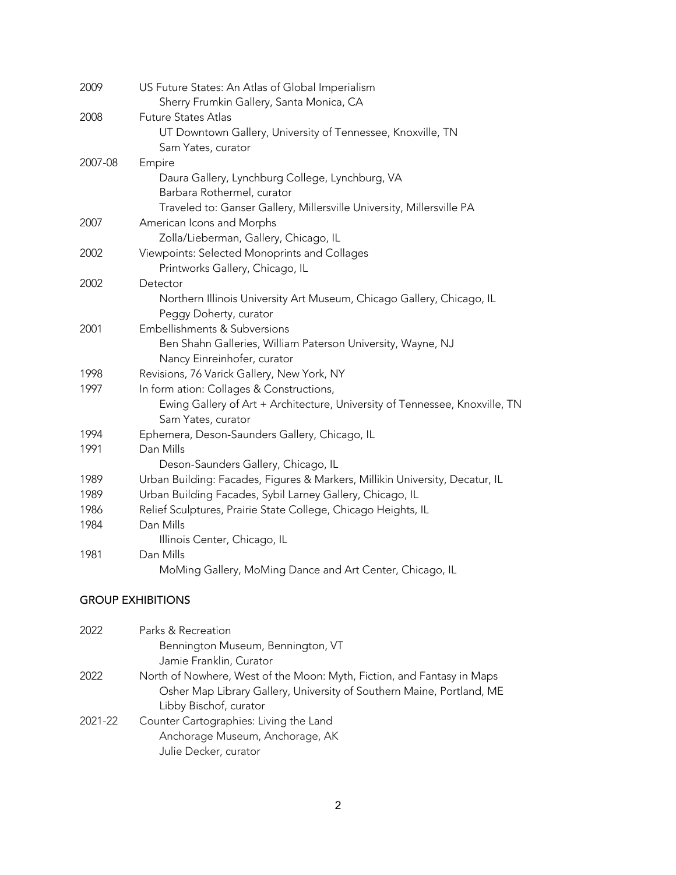| 2009    | US Future States: An Atlas of Global Imperialism                             |
|---------|------------------------------------------------------------------------------|
|         | Sherry Frumkin Gallery, Santa Monica, CA                                     |
| 2008    | <b>Future States Atlas</b>                                                   |
|         | UT Downtown Gallery, University of Tennessee, Knoxville, TN                  |
|         | Sam Yates, curator                                                           |
| 2007-08 | Empire                                                                       |
|         | Daura Gallery, Lynchburg College, Lynchburg, VA                              |
|         | Barbara Rothermel, curator                                                   |
|         | Traveled to: Ganser Gallery, Millersville University, Millersville PA        |
| 2007    | American Icons and Morphs                                                    |
|         | Zolla/Lieberman, Gallery, Chicago, IL                                        |
| 2002    | Viewpoints: Selected Monoprints and Collages                                 |
|         | Printworks Gallery, Chicago, IL                                              |
| 2002    | Detector                                                                     |
|         | Northern Illinois University Art Museum, Chicago Gallery, Chicago, IL        |
|         | Peggy Doherty, curator                                                       |
| 2001    | Embellishments & Subversions                                                 |
|         | Ben Shahn Galleries, William Paterson University, Wayne, NJ                  |
|         | Nancy Einreinhofer, curator                                                  |
| 1998    | Revisions, 76 Varick Gallery, New York, NY                                   |
| 1997    | In form ation: Collages & Constructions,                                     |
|         | Ewing Gallery of Art + Architecture, University of Tennessee, Knoxville, TN  |
|         | Sam Yates, curator                                                           |
| 1994    | Ephemera, Deson-Saunders Gallery, Chicago, IL                                |
| 1991    | Dan Mills                                                                    |
|         | Deson-Saunders Gallery, Chicago, IL                                          |
| 1989    | Urban Building: Facades, Figures & Markers, Millikin University, Decatur, IL |
| 1989    | Urban Building Facades, Sybil Larney Gallery, Chicago, IL                    |
| 1986    | Relief Sculptures, Prairie State College, Chicago Heights, IL                |
| 1984    | Dan Mills                                                                    |
|         | Illinois Center, Chicago, IL                                                 |
| 1981    | Dan Mills                                                                    |
|         | MoMing Gallery, MoMing Dance and Art Center, Chicago, IL                     |
|         |                                                                              |

## GROUP EXHIBITIONS

| 2022    | Parks & Recreation                                                     |
|---------|------------------------------------------------------------------------|
|         | Bennington Museum, Bennington, VT                                      |
|         | Jamie Franklin, Curator                                                |
| 2022    | North of Nowhere, West of the Moon: Myth, Fiction, and Fantasy in Maps |
|         | Osher Map Library Gallery, University of Southern Maine, Portland, ME  |
|         | Libby Bischof, curator                                                 |
| 2021-22 | Counter Cartographies: Living the Land                                 |
|         | Anchorage Museum, Anchorage, AK                                        |
|         | Julie Decker, curator                                                  |
|         |                                                                        |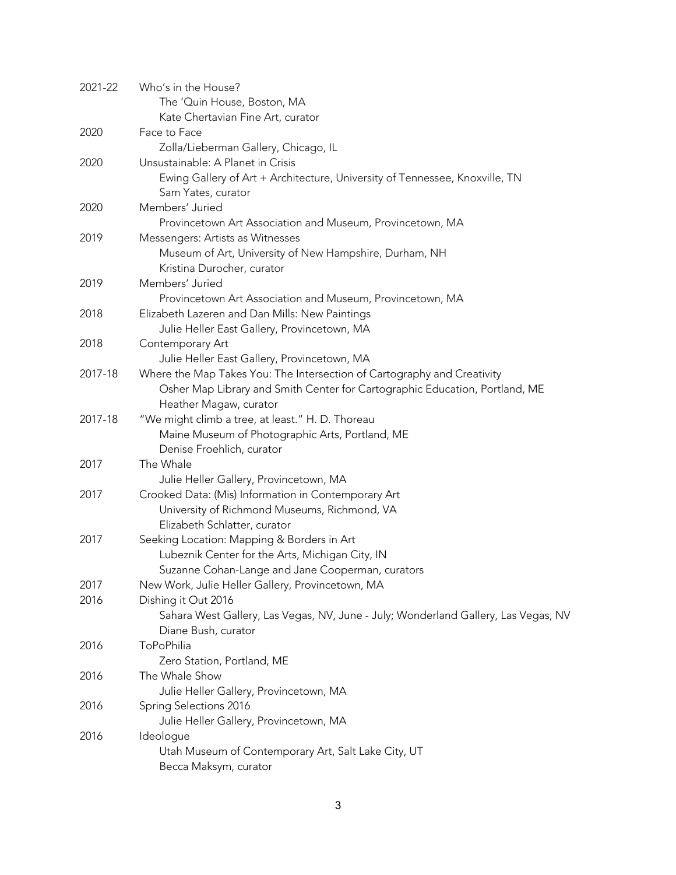| 2021-22 | Who's in the House?                                                                |
|---------|------------------------------------------------------------------------------------|
|         | The 'Quin House, Boston, MA                                                        |
|         | Kate Chertavian Fine Art, curator                                                  |
| 2020    | Face to Face                                                                       |
|         | Zolla/Lieberman Gallery, Chicago, IL                                               |
| 2020    | Unsustainable: A Planet in Crisis                                                  |
|         | Ewing Gallery of Art + Architecture, University of Tennessee, Knoxville, TN        |
|         | Sam Yates, curator                                                                 |
| 2020    | Members' Juried                                                                    |
|         | Provincetown Art Association and Museum, Provincetown, MA                          |
| 2019    | Messengers: Artists as Witnesses                                                   |
|         | Museum of Art, University of New Hampshire, Durham, NH                             |
|         | Kristina Durocher, curator                                                         |
| 2019    | Members' Juried                                                                    |
|         | Provincetown Art Association and Museum, Provincetown, MA                          |
| 2018    | Elizabeth Lazeren and Dan Mills: New Paintings                                     |
|         | Julie Heller East Gallery, Provincetown, MA                                        |
| 2018    | Contemporary Art                                                                   |
|         | Julie Heller East Gallery, Provincetown, MA                                        |
| 2017-18 | Where the Map Takes You: The Intersection of Cartography and Creativity            |
|         | Osher Map Library and Smith Center for Cartographic Education, Portland, ME        |
|         | Heather Magaw, curator                                                             |
| 2017-18 | "We might climb a tree, at least." H. D. Thoreau                                   |
|         | Maine Museum of Photographic Arts, Portland, ME                                    |
|         | Denise Froehlich, curator                                                          |
| 2017    | The Whale                                                                          |
|         | Julie Heller Gallery, Provincetown, MA                                             |
| 2017    | Crooked Data: (Mis) Information in Contemporary Art                                |
|         | University of Richmond Museums, Richmond, VA                                       |
|         | Elizabeth Schlatter, curator                                                       |
| 2017    | Seeking Location: Mapping & Borders in Art                                         |
|         | Lubeznik Center for the Arts, Michigan City, IN                                    |
|         | Suzanne Cohan-Lange and Jane Cooperman, curators                                   |
| 2017    | New Work, Julie Heller Gallery, Provincetown, MA                                   |
| 2016    | Dishing it Out 2016                                                                |
|         | Sahara West Gallery, Las Vegas, NV, June - July; Wonderland Gallery, Las Vegas, NV |
|         | Diane Bush, curator                                                                |
| 2016    | ToPoPhilia                                                                         |
|         | Zero Station, Portland, ME                                                         |
| 2016    | The Whale Show                                                                     |
|         | Julie Heller Gallery, Provincetown, MA                                             |
| 2016    | Spring Selections 2016                                                             |
|         | Julie Heller Gallery, Provincetown, MA                                             |
| 2016    | Ideologue                                                                          |
|         | Utah Museum of Contemporary Art, Salt Lake City, UT                                |
|         | Becca Maksym, curator                                                              |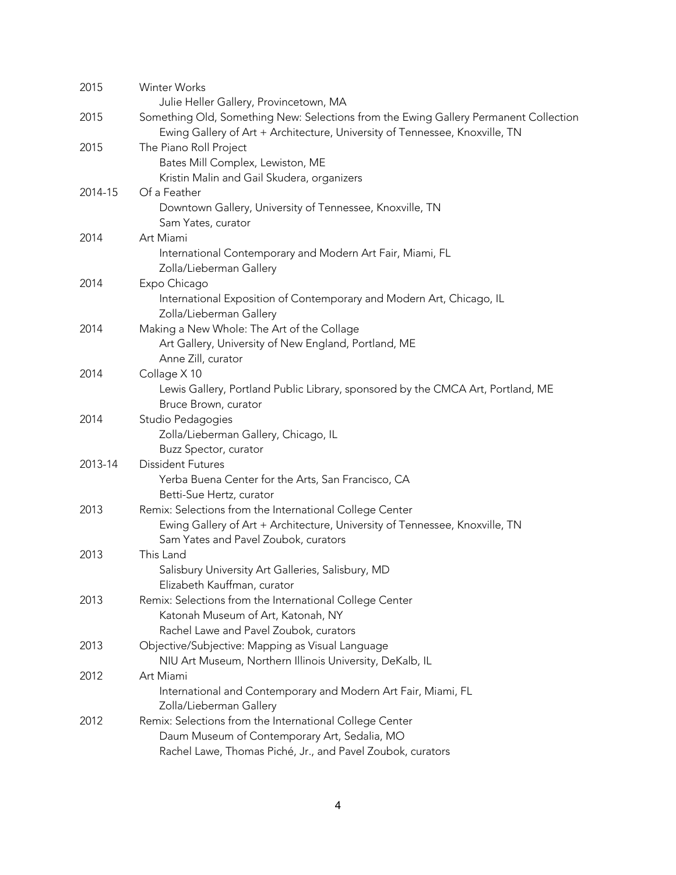| 2015    | Winter Works<br>Julie Heller Gallery, Provincetown, MA                                          |
|---------|-------------------------------------------------------------------------------------------------|
| 2015    | Something Old, Something New: Selections from the Ewing Gallery Permanent Collection            |
|         | Ewing Gallery of Art + Architecture, University of Tennessee, Knoxville, TN                     |
| 2015    | The Piano Roll Project                                                                          |
|         | Bates Mill Complex, Lewiston, ME                                                                |
|         | Kristin Malin and Gail Skudera, organizers                                                      |
| 2014-15 | Of a Feather                                                                                    |
|         | Downtown Gallery, University of Tennessee, Knoxville, TN                                        |
|         | Sam Yates, curator                                                                              |
| 2014    | Art Miami                                                                                       |
|         | International Contemporary and Modern Art Fair, Miami, FL                                       |
|         | Zolla/Lieberman Gallery                                                                         |
| 2014    | Expo Chicago                                                                                    |
|         | International Exposition of Contemporary and Modern Art, Chicago, IL<br>Zolla/Lieberman Gallery |
| 2014    | Making a New Whole: The Art of the Collage                                                      |
|         | Art Gallery, University of New England, Portland, ME                                            |
|         | Anne Zill, curator                                                                              |
| 2014    | Collage X 10                                                                                    |
|         | Lewis Gallery, Portland Public Library, sponsored by the CMCA Art, Portland, ME                 |
|         | Bruce Brown, curator                                                                            |
| 2014    | Studio Pedagogies                                                                               |
|         | Zolla/Lieberman Gallery, Chicago, IL                                                            |
|         | Buzz Spector, curator                                                                           |
| 2013-14 | <b>Dissident Futures</b>                                                                        |
|         | Yerba Buena Center for the Arts, San Francisco, CA                                              |
|         | Betti-Sue Hertz, curator                                                                        |
| 2013    | Remix: Selections from the International College Center                                         |
|         | Ewing Gallery of Art + Architecture, University of Tennessee, Knoxville, TN                     |
|         | Sam Yates and Pavel Zoubok, curators                                                            |
| 2013    | This Land                                                                                       |
|         | Salisbury University Art Galleries, Salisbury, MD                                               |
|         | Elizabeth Kauffman, curator                                                                     |
| 2013    | Remix: Selections from the International College Center                                         |
|         | Katonah Museum of Art, Katonah, NY                                                              |
|         | Rachel Lawe and Pavel Zoubok, curators                                                          |
| 2013    | Objective/Subjective: Mapping as Visual Language                                                |
|         | NIU Art Museum, Northern Illinois University, DeKalb, IL                                        |
| 2012    | Art Miami                                                                                       |
|         | International and Contemporary and Modern Art Fair, Miami, FL                                   |
|         | Zolla/Lieberman Gallery                                                                         |
| 2012    | Remix: Selections from the International College Center                                         |
|         | Daum Museum of Contemporary Art, Sedalia, MO                                                    |
|         | Rachel Lawe, Thomas Piché, Jr., and Pavel Zoubok, curators                                      |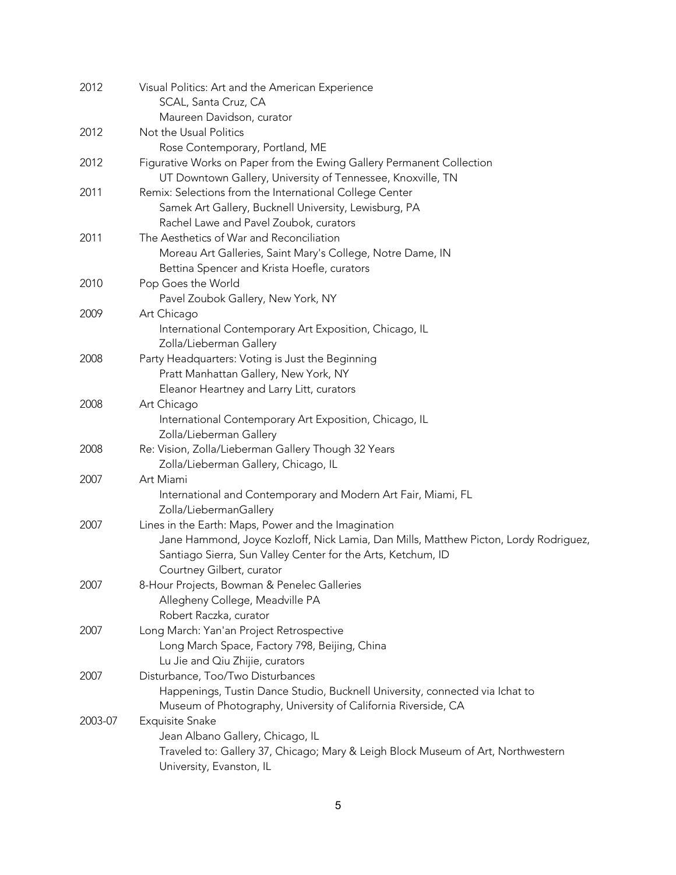| 2012    | Visual Politics: Art and the American Experience                                     |
|---------|--------------------------------------------------------------------------------------|
|         | SCAL, Santa Cruz, CA                                                                 |
|         | Maureen Davidson, curator                                                            |
| 2012    | Not the Usual Politics                                                               |
|         | Rose Contemporary, Portland, ME                                                      |
| 2012    | Figurative Works on Paper from the Ewing Gallery Permanent Collection                |
|         | UT Downtown Gallery, University of Tennessee, Knoxville, TN                          |
| 2011    | Remix: Selections from the International College Center                              |
|         | Samek Art Gallery, Bucknell University, Lewisburg, PA                                |
|         | Rachel Lawe and Pavel Zoubok, curators                                               |
| 2011    | The Aesthetics of War and Reconciliation                                             |
|         | Moreau Art Galleries, Saint Mary's College, Notre Dame, IN                           |
|         | Bettina Spencer and Krista Hoefle, curators                                          |
| 2010    | Pop Goes the World                                                                   |
|         | Pavel Zoubok Gallery, New York, NY                                                   |
| 2009    | Art Chicago                                                                          |
|         | International Contemporary Art Exposition, Chicago, IL                               |
|         | Zolla/Lieberman Gallery                                                              |
| 2008    | Party Headquarters: Voting is Just the Beginning                                     |
|         | Pratt Manhattan Gallery, New York, NY                                                |
|         | Eleanor Heartney and Larry Litt, curators                                            |
| 2008    | Art Chicago                                                                          |
|         | International Contemporary Art Exposition, Chicago, IL                               |
|         | Zolla/Lieberman Gallery                                                              |
| 2008    | Re: Vision, Zolla/Lieberman Gallery Though 32 Years                                  |
|         | Zolla/Lieberman Gallery, Chicago, IL                                                 |
| 2007    | Art Miami                                                                            |
|         | International and Contemporary and Modern Art Fair, Miami, FL                        |
|         | Zolla/LiebermanGallery                                                               |
| 2007    | Lines in the Earth: Maps, Power and the Imagination                                  |
|         | Jane Hammond, Joyce Kozloff, Nick Lamia, Dan Mills, Matthew Picton, Lordy Rodriguez, |
|         | Santiago Sierra, Sun Valley Center for the Arts, Ketchum, ID                         |
|         | Courtney Gilbert, curator                                                            |
| 2007    | 8-Hour Projects, Bowman & Penelec Galleries                                          |
|         | Allegheny College, Meadville PA                                                      |
|         | Robert Raczka, curator                                                               |
| 2007    | Long March: Yan'an Project Retrospective                                             |
|         | Long March Space, Factory 798, Beijing, China                                        |
|         | Lu Jie and Qiu Zhijie, curators                                                      |
| 2007    | Disturbance, Too/Two Disturbances                                                    |
|         | Happenings, Tustin Dance Studio, Bucknell University, connected via Ichat to         |
|         | Museum of Photography, University of California Riverside, CA                        |
| 2003-07 | <b>Exquisite Snake</b>                                                               |
|         | Jean Albano Gallery, Chicago, IL                                                     |
|         | Traveled to: Gallery 37, Chicago; Mary & Leigh Block Museum of Art, Northwestern     |
|         | University, Evanston, IL                                                             |
|         |                                                                                      |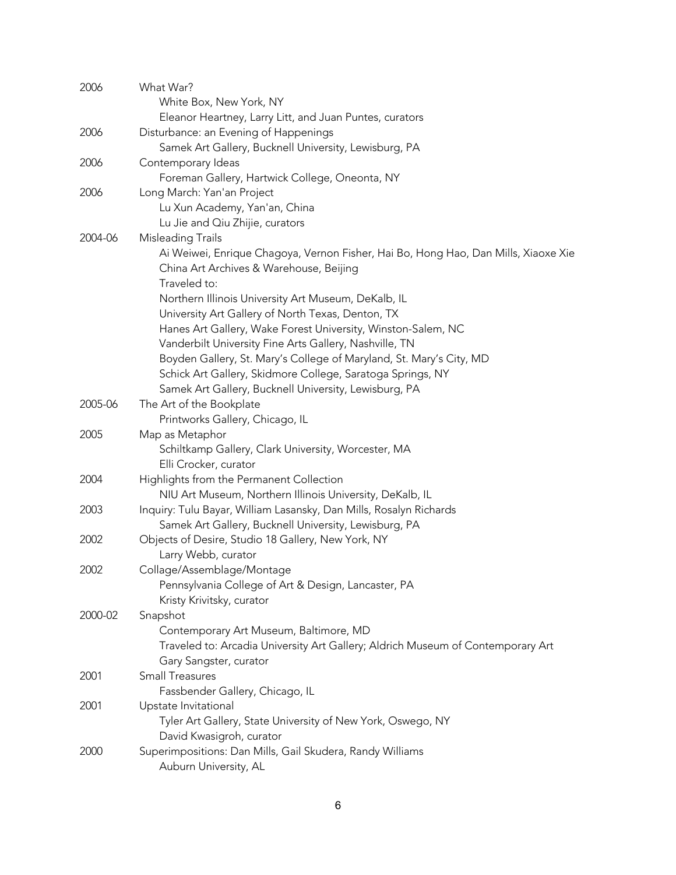| 2006    | What War?                                                                          |
|---------|------------------------------------------------------------------------------------|
|         | White Box, New York, NY                                                            |
|         | Eleanor Heartney, Larry Litt, and Juan Puntes, curators                            |
| 2006    | Disturbance: an Evening of Happenings                                              |
|         | Samek Art Gallery, Bucknell University, Lewisburg, PA                              |
| 2006    | Contemporary Ideas                                                                 |
|         | Foreman Gallery, Hartwick College, Oneonta, NY                                     |
| 2006    | Long March: Yan'an Project                                                         |
|         | Lu Xun Academy, Yan'an, China                                                      |
|         | Lu Jie and Qiu Zhijie, curators                                                    |
| 2004-06 | Misleading Trails                                                                  |
|         | Ai Weiwei, Enrique Chagoya, Vernon Fisher, Hai Bo, Hong Hao, Dan Mills, Xiaoxe Xie |
|         | China Art Archives & Warehouse, Beijing                                            |
|         | Traveled to:                                                                       |
|         | Northern Illinois University Art Museum, DeKalb, IL                                |
|         | University Art Gallery of North Texas, Denton, TX                                  |
|         | Hanes Art Gallery, Wake Forest University, Winston-Salem, NC                       |
|         | Vanderbilt University Fine Arts Gallery, Nashville, TN                             |
|         | Boyden Gallery, St. Mary's College of Maryland, St. Mary's City, MD                |
|         | Schick Art Gallery, Skidmore College, Saratoga Springs, NY                         |
|         | Samek Art Gallery, Bucknell University, Lewisburg, PA                              |
| 2005-06 | The Art of the Bookplate                                                           |
|         | Printworks Gallery, Chicago, IL                                                    |
| 2005    | Map as Metaphor                                                                    |
|         |                                                                                    |
|         | Schiltkamp Gallery, Clark University, Worcester, MA                                |
|         | Elli Crocker, curator                                                              |
| 2004    | Highlights from the Permanent Collection                                           |
|         | NIU Art Museum, Northern Illinois University, DeKalb, IL                           |
| 2003    | Inquiry: Tulu Bayar, William Lasansky, Dan Mills, Rosalyn Richards                 |
|         | Samek Art Gallery, Bucknell University, Lewisburg, PA                              |
| 2002    | Objects of Desire, Studio 18 Gallery, New York, NY                                 |
|         | Larry Webb, curator                                                                |
| 2002    | Collage/Assemblage/Montage                                                         |
|         | Pennsylvania College of Art & Design, Lancaster, PA                                |
|         | Kristy Krivitsky, curator                                                          |
| 2000-02 | Snapshot                                                                           |
|         | Contemporary Art Museum, Baltimore, MD                                             |
|         | Traveled to: Arcadia University Art Gallery; Aldrich Museum of Contemporary Art    |
|         | Gary Sangster, curator                                                             |
| 2001    | <b>Small Treasures</b>                                                             |
|         | Fassbender Gallery, Chicago, IL                                                    |
| 2001    | Upstate Invitational                                                               |
|         | Tyler Art Gallery, State University of New York, Oswego, NY                        |
|         | David Kwasigroh, curator                                                           |
| 2000    | Superimpositions: Dan Mills, Gail Skudera, Randy Williams                          |
|         | Auburn University, AL                                                              |
|         |                                                                                    |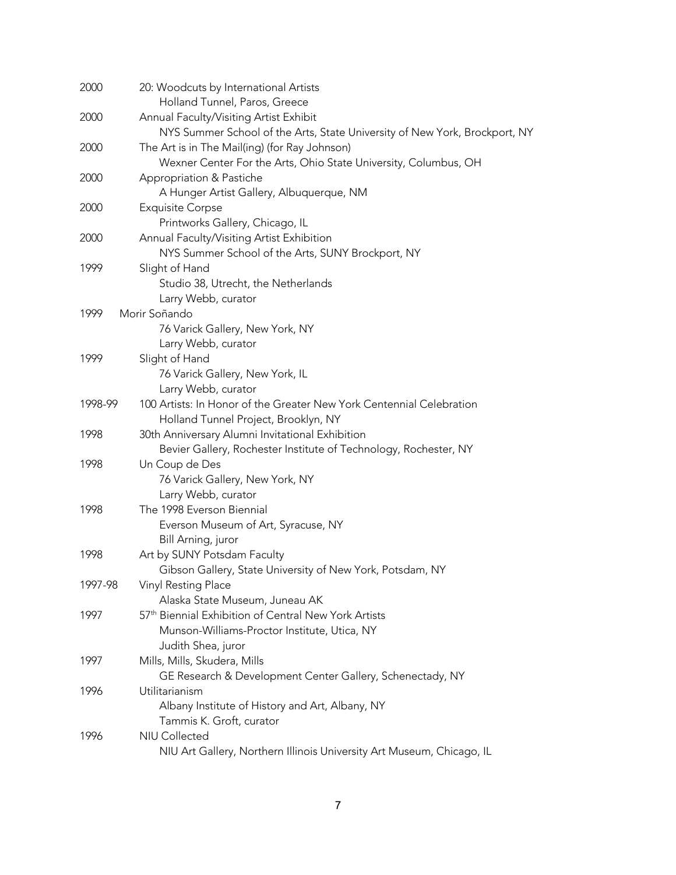| 2000    | 20: Woodcuts by International Artists                                                       |
|---------|---------------------------------------------------------------------------------------------|
|         | Holland Tunnel, Paros, Greece                                                               |
| 2000    | Annual Faculty/Visiting Artist Exhibit                                                      |
|         | NYS Summer School of the Arts, State University of New York, Brockport, NY                  |
| 2000    | The Art is in The Mail(ing) (for Ray Johnson)                                               |
|         | Wexner Center For the Arts, Ohio State University, Columbus, OH                             |
| 2000    | Appropriation & Pastiche                                                                    |
|         | A Hunger Artist Gallery, Albuquerque, NM                                                    |
| 2000    | <b>Exquisite Corpse</b>                                                                     |
|         | Printworks Gallery, Chicago, IL                                                             |
| 2000    | Annual Faculty/Visiting Artist Exhibition                                                   |
|         | NYS Summer School of the Arts, SUNY Brockport, NY                                           |
| 1999    | Slight of Hand                                                                              |
|         | Studio 38, Utrecht, the Netherlands                                                         |
|         | Larry Webb, curator<br>Morir Soñando                                                        |
| 1999    |                                                                                             |
|         | 76 Varick Gallery, New York, NY                                                             |
|         | Larry Webb, curator                                                                         |
| 1999    | Slight of Hand                                                                              |
|         | 76 Varick Gallery, New York, IL                                                             |
| 1998-99 | Larry Webb, curator<br>100 Artists: In Honor of the Greater New York Centennial Celebration |
|         |                                                                                             |
| 1998    | Holland Tunnel Project, Brooklyn, NY<br>30th Anniversary Alumni Invitational Exhibition     |
|         | Bevier Gallery, Rochester Institute of Technology, Rochester, NY                            |
| 1998    | Un Coup de Des                                                                              |
|         | 76 Varick Gallery, New York, NY                                                             |
|         | Larry Webb, curator                                                                         |
| 1998    | The 1998 Everson Biennial                                                                   |
|         | Everson Museum of Art, Syracuse, NY                                                         |
|         | Bill Arning, juror                                                                          |
| 1998    | Art by SUNY Potsdam Faculty                                                                 |
|         | Gibson Gallery, State University of New York, Potsdam, NY                                   |
| 1997-98 | Vinyl Resting Place                                                                         |
|         | Alaska State Museum, Juneau AK                                                              |
| 1997    | 57 <sup>th</sup> Biennial Exhibition of Central New York Artists                            |
|         | Munson-Williams-Proctor Institute, Utica, NY                                                |
|         | Judith Shea, juror                                                                          |
| 1997    | Mills, Mills, Skudera, Mills                                                                |
|         | GE Research & Development Center Gallery, Schenectady, NY                                   |
| 1996    | Utilitarianism                                                                              |
|         | Albany Institute of History and Art, Albany, NY                                             |
|         | Tammis K. Groft, curator                                                                    |
| 1996    | <b>NIU Collected</b>                                                                        |
|         | NIU Art Gallery, Northern Illinois University Art Museum, Chicago, IL                       |
|         |                                                                                             |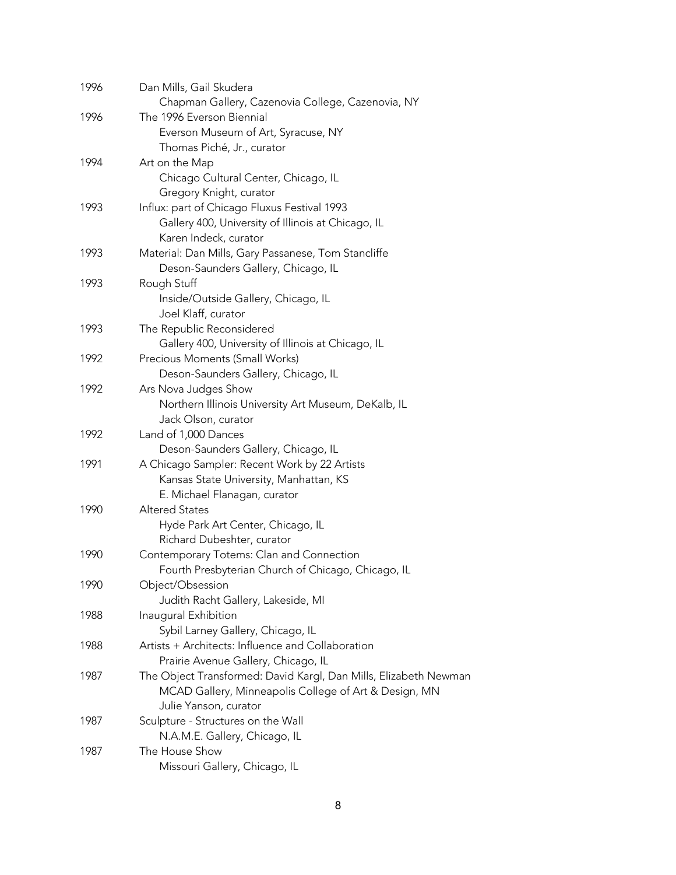| 1996 | Dan Mills, Gail Skudera                                          |
|------|------------------------------------------------------------------|
|      | Chapman Gallery, Cazenovia College, Cazenovia, NY                |
| 1996 | The 1996 Everson Biennial                                        |
|      | Everson Museum of Art, Syracuse, NY                              |
|      | Thomas Piché, Jr., curator                                       |
| 1994 | Art on the Map                                                   |
|      | Chicago Cultural Center, Chicago, IL                             |
|      | Gregory Knight, curator                                          |
| 1993 | Influx: part of Chicago Fluxus Festival 1993                     |
|      | Gallery 400, University of Illinois at Chicago, IL               |
|      | Karen Indeck, curator                                            |
| 1993 | Material: Dan Mills, Gary Passanese, Tom Stancliffe              |
|      | Deson-Saunders Gallery, Chicago, IL                              |
| 1993 | Rough Stuff                                                      |
|      | Inside/Outside Gallery, Chicago, IL                              |
|      | Joel Klaff, curator                                              |
| 1993 | The Republic Reconsidered                                        |
|      | Gallery 400, University of Illinois at Chicago, IL               |
| 1992 | Precious Moments (Small Works)                                   |
|      | Deson-Saunders Gallery, Chicago, IL                              |
| 1992 | Ars Nova Judges Show                                             |
|      | Northern Illinois University Art Museum, DeKalb, IL              |
|      | Jack Olson, curator                                              |
|      |                                                                  |
| 1992 | Land of 1,000 Dances                                             |
|      | Deson-Saunders Gallery, Chicago, IL                              |
| 1991 | A Chicago Sampler: Recent Work by 22 Artists                     |
|      | Kansas State University, Manhattan, KS                           |
|      | E. Michael Flanagan, curator                                     |
| 1990 | <b>Altered States</b>                                            |
|      | Hyde Park Art Center, Chicago, IL                                |
|      | Richard Dubeshter, curator                                       |
| 1990 | Contemporary Totems: Clan and Connection                         |
|      | Fourth Presbyterian Church of Chicago, Chicago, IL               |
| 1990 | Object/Obsession                                                 |
|      | Judith Racht Gallery, Lakeside, MI                               |
| 1988 | Inaugural Exhibition                                             |
|      | Sybil Larney Gallery, Chicago, IL                                |
| 1988 | Artists + Architects: Influence and Collaboration                |
|      | Prairie Avenue Gallery, Chicago, IL                              |
| 1987 | The Object Transformed: David Kargl, Dan Mills, Elizabeth Newman |
|      | MCAD Gallery, Minneapolis College of Art & Design, MN            |
|      | Julie Yanson, curator                                            |
| 1987 | Sculpture - Structures on the Wall                               |
|      | N.A.M.E. Gallery, Chicago, IL                                    |
| 1987 | The House Show                                                   |
|      | Missouri Gallery, Chicago, IL                                    |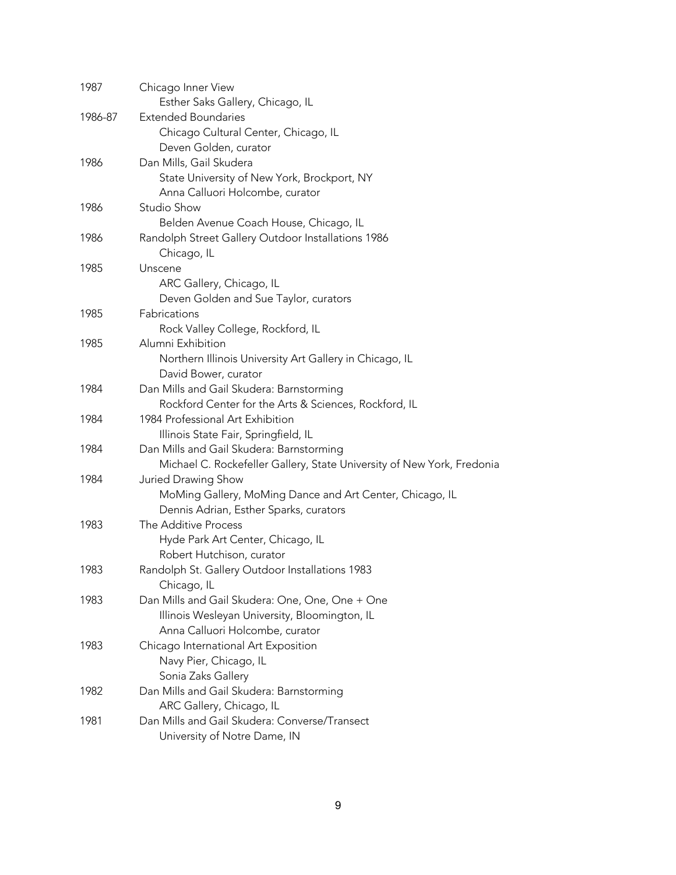| 1987    | Chicago Inner View                                                     |
|---------|------------------------------------------------------------------------|
|         | Esther Saks Gallery, Chicago, IL                                       |
| 1986-87 | <b>Extended Boundaries</b>                                             |
|         | Chicago Cultural Center, Chicago, IL                                   |
|         | Deven Golden, curator                                                  |
| 1986    | Dan Mills, Gail Skudera                                                |
|         | State University of New York, Brockport, NY                            |
|         | Anna Calluori Holcombe, curator                                        |
| 1986    | Studio Show                                                            |
|         | Belden Avenue Coach House, Chicago, IL                                 |
| 1986    | Randolph Street Gallery Outdoor Installations 1986                     |
|         | Chicago, IL                                                            |
| 1985    | Unscene                                                                |
|         | ARC Gallery, Chicago, IL                                               |
|         | Deven Golden and Sue Taylor, curators                                  |
| 1985    | Fabrications                                                           |
|         | Rock Valley College, Rockford, IL                                      |
| 1985    | Alumni Exhibition                                                      |
|         | Northern Illinois University Art Gallery in Chicago, IL                |
|         | David Bower, curator                                                   |
| 1984    | Dan Mills and Gail Skudera: Barnstorming                               |
|         | Rockford Center for the Arts & Sciences, Rockford, IL                  |
| 1984    | 1984 Professional Art Exhibition                                       |
|         | Illinois State Fair, Springfield, IL                                   |
| 1984    | Dan Mills and Gail Skudera: Barnstorming                               |
|         | Michael C. Rockefeller Gallery, State University of New York, Fredonia |
| 1984    | Juried Drawing Show                                                    |
|         | MoMing Gallery, MoMing Dance and Art Center, Chicago, IL               |
|         | Dennis Adrian, Esther Sparks, curators                                 |
| 1983    | The Additive Process                                                   |
|         | Hyde Park Art Center, Chicago, IL                                      |
|         | Robert Hutchison, curator                                              |
| 1983    | Randolph St. Gallery Outdoor Installations 1983                        |
|         | Chicago, IL                                                            |
| 1983    | Dan Mills and Gail Skudera: One, One, One + One                        |
|         | Illinois Wesleyan University, Bloomington, IL                          |
|         | Anna Calluori Holcombe, curator                                        |
| 1983    | Chicago International Art Exposition                                   |
|         | Navy Pier, Chicago, IL                                                 |
|         | Sonia Zaks Gallery                                                     |
| 1982    | Dan Mills and Gail Skudera: Barnstorming                               |
|         | ARC Gallery, Chicago, IL                                               |
| 1981    | Dan Mills and Gail Skudera: Converse/Transect                          |
|         | University of Notre Dame, IN                                           |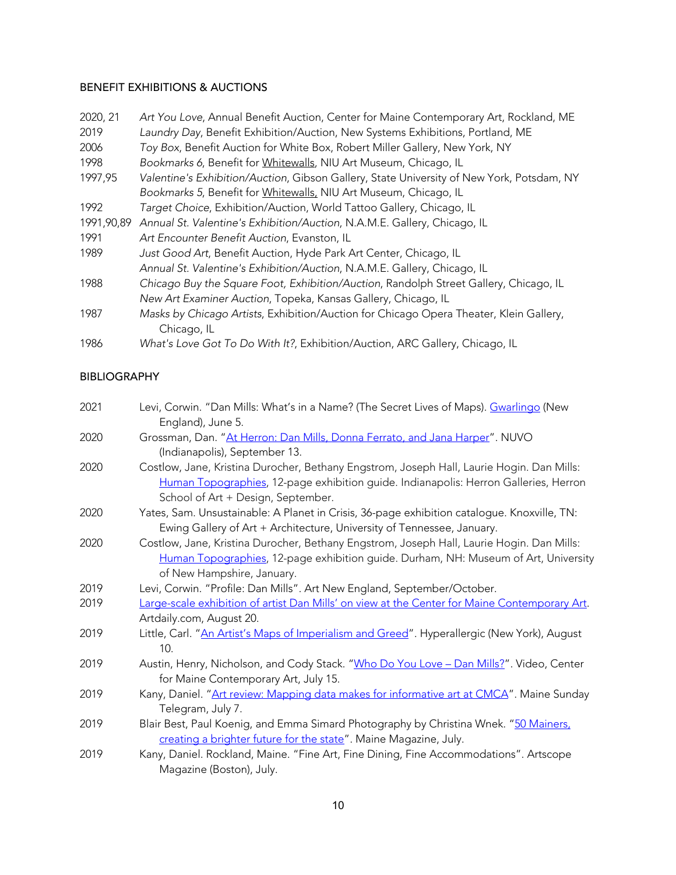# BENEFIT EXHIBITIONS & AUCTIONS

| 2020, 21   | Art You Love, Annual Benefit Auction, Center for Maine Contemporary Art, Rockland, ME     |
|------------|-------------------------------------------------------------------------------------------|
| 2019       | Laundry Day, Benefit Exhibition/Auction, New Systems Exhibitions, Portland, ME            |
| 2006       | Toy Box, Benefit Auction for White Box, Robert Miller Gallery, New York, NY               |
| 1998       | Bookmarks 6, Benefit for Whitewalls, NIU Art Museum, Chicago, IL                          |
| 1997,95    | Valentine's Exhibition/Auction, Gibson Gallery, State University of New York, Potsdam, NY |
|            | Bookmarks 5, Benefit for Whitewalls, NIU Art Museum, Chicago, IL                          |
| 1992       | Target Choice, Exhibition/Auction, World Tattoo Gallery, Chicago, IL                      |
| 1991,90,89 | Annual St. Valentine's Exhibition/Auction, N.A.M.E. Gallery, Chicago, IL                  |
| 1991       | Art Encounter Benefit Auction, Evanston, IL                                               |
| 1989       | Just Good Art, Benefit Auction, Hyde Park Art Center, Chicago, IL                         |
|            | Annual St. Valentine's Exhibition/Auction, N.A.M.E. Gallery, Chicago, IL                  |
| 1988       | Chicago Buy the Square Foot, Exhibition/Auction, Randolph Street Gallery, Chicago, IL     |
|            | New Art Examiner Auction, Topeka, Kansas Gallery, Chicago, IL                             |
| 1987       | Masks by Chicago Artists, Exhibition/Auction for Chicago Opera Theater, Klein Gallery,    |
|            | Chicago, IL                                                                               |
| 1986       | What's Love Got To Do With It?, Exhibition/Auction, ARC Gallery, Chicago, IL              |

## BIBLIOGRAPHY

| 2021 | Levi, Corwin. "Dan Mills: What's in a Name? (The Secret Lives of Maps). <u>Gwarlingo</u> (New<br>England), June 5. |
|------|--------------------------------------------------------------------------------------------------------------------|
| 2020 | Grossman, Dan. "At Herron: Dan Mills, Donna Ferrato, and Jana Harper". NUVO                                        |
|      | (Indianapolis), September 13.                                                                                      |
| 2020 | Costlow, Jane, Kristina Durocher, Bethany Engstrom, Joseph Hall, Laurie Hogin. Dan Mills:                          |
|      | Human Topographies, 12-page exhibition guide. Indianapolis: Herron Galleries, Herron                               |
|      | School of Art + Design, September.                                                                                 |
| 2020 | Yates, Sam. Unsustainable: A Planet in Crisis, 36-page exhibition catalogue. Knoxville, TN:                        |
|      | Ewing Gallery of Art + Architecture, University of Tennessee, January.                                             |
| 2020 | Costlow, Jane, Kristina Durocher, Bethany Engstrom, Joseph Hall, Laurie Hogin. Dan Mills:                          |
|      | Human Topographies, 12-page exhibition guide. Durham, NH: Museum of Art, University                                |
|      | of New Hampshire, January.                                                                                         |
| 2019 | Levi, Corwin. "Profile: Dan Mills". Art New England, September/October.                                            |
| 2019 | Large-scale exhibition of artist Dan Mills' on view at the Center for Maine Contemporary Art.                      |
|      | Artdaily.com, August 20.                                                                                           |
| 2019 | Little, Carl. "An Artist's Maps of Imperialism and Greed". Hyperallergic (New York), August                        |
|      | 10.                                                                                                                |
| 2019 | Austin, Henry, Nicholson, and Cody Stack. "Who Do You Love - Dan Mills?". Video, Center                            |
|      | for Maine Contemporary Art, July 15.                                                                               |
| 2019 | Kany, Daniel. "Art review: Mapping data makes for informative art at CMCA". Maine Sunday                           |
|      | Telegram, July 7.                                                                                                  |
| 2019 | Blair Best, Paul Koenig, and Emma Simard Photography by Christina Wnek. "50 Mainers,                               |
|      | creating a brighter future for the state". Maine Magazine, July.                                                   |
| 2019 | Kany, Daniel. Rockland, Maine. "Fine Art, Fine Dining, Fine Accommodations". Artscope                              |
|      | Magazine (Boston), July.                                                                                           |
|      |                                                                                                                    |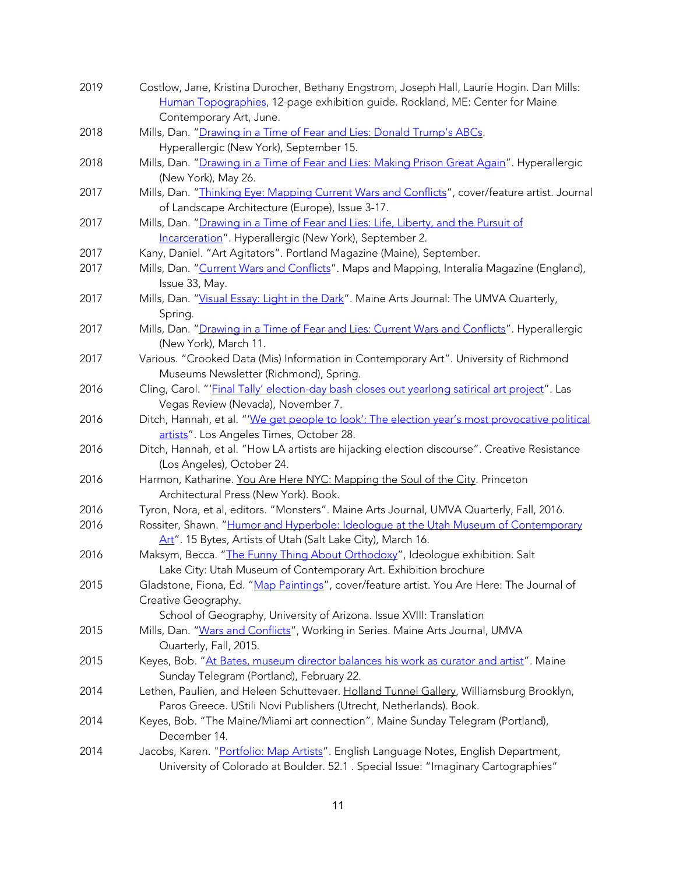| 2019 | Costlow, Jane, Kristina Durocher, Bethany Engstrom, Joseph Hall, Laurie Hogin. Dan Mills:      |
|------|------------------------------------------------------------------------------------------------|
|      | Human Topographies, 12-page exhibition guide. Rockland, ME: Center for Maine                   |
|      | Contemporary Art, June.                                                                        |
| 2018 | Mills, Dan. "Drawing in a Time of Fear and Lies: Donald Trump's ABCs.                          |
|      | Hyperallergic (New York), September 15.                                                        |
| 2018 | Mills, Dan. "Drawing in a Time of Fear and Lies: Making Prison Great Again". Hyperallergic     |
|      | (New York), May 26.                                                                            |
| 2017 | Mills, Dan. "Thinking Eye: Mapping Current Wars and Conflicts", cover/feature artist. Journal  |
|      | of Landscape Architecture (Europe), Issue 3-17.                                                |
| 2017 | Mills, Dan. "Drawing in a Time of Fear and Lies: Life, Liberty, and the Pursuit of             |
|      | Incarceration". Hyperallergic (New York), September 2.                                         |
| 2017 | Kany, Daniel. "Art Agitators". Portland Magazine (Maine), September.                           |
| 2017 | Mills, Dan. "Current Wars and Conflicts". Maps and Mapping, Interalia Magazine (England),      |
|      | Issue 33, May.                                                                                 |
| 2017 | Mills, Dan. "Visual Essay: Light in the Dark". Maine Arts Journal: The UMVA Quarterly,         |
|      | Spring.                                                                                        |
| 2017 | Mills, Dan. "Drawing in a Time of Fear and Lies: Current Wars and Conflicts". Hyperallergic    |
|      | (New York), March 11.                                                                          |
| 2017 | Various. "Crooked Data (Mis) Information in Contemporary Art". University of Richmond          |
|      | Museums Newsletter (Richmond), Spring.                                                         |
| 2016 | Cling, Carol. "'Final Tally' election-day bash closes out yearlong satirical art project". Las |
|      | Vegas Review (Nevada), November 7.                                                             |
| 2016 | Ditch, Hannah, et al. "'We get people to look': The election year's most provocative political |
|      | artists". Los Angeles Times, October 28.                                                       |
| 2016 | Ditch, Hannah, et al. "How LA artists are hijacking election discourse". Creative Resistance   |
|      | (Los Angeles), October 24.                                                                     |
| 2016 | Harmon, Katharine. You Are Here NYC: Mapping the Soul of the City. Princeton                   |
|      | Architectural Press (New York). Book.                                                          |
| 2016 | Tyron, Nora, et al, editors. "Monsters". Maine Arts Journal, UMVA Quarterly, Fall, 2016.       |
| 2016 | Rossiter, Shawn. "Humor and Hyperbole: Ideologue at the Utah Museum of Contemporary            |
|      | Art". 15 Bytes, Artists of Utah (Salt Lake City), March 16.                                    |
| 2016 | Maksym, Becca. "The Funny Thing About Orthodoxy", Ideologue exhibition. Salt                   |
|      | Lake City: Utah Museum of Contemporary Art. Exhibition brochure                                |
| 2015 | Gladstone, Fiona, Ed. "Map Paintings", cover/feature artist. You Are Here: The Journal of      |
|      | Creative Geography.                                                                            |
|      | School of Geography, University of Arizona. Issue XVIII: Translation                           |
| 2015 | Mills, Dan. "Wars and Conflicts", Working in Series. Maine Arts Journal, UMVA                  |
|      | Quarterly, Fall, 2015.                                                                         |
| 2015 | Keyes, Bob. "At Bates, museum director balances his work as curator and artist". Maine         |
|      | Sunday Telegram (Portland), February 22.                                                       |
| 2014 | Lethen, Paulien, and Heleen Schuttevaer. Holland Tunnel Gallery, Williamsburg Brooklyn,        |
|      | Paros Greece. UStili Novi Publishers (Utrecht, Netherlands). Book.                             |
| 2014 | Keyes, Bob. "The Maine/Miami art connection". Maine Sunday Telegram (Portland),                |
|      | December 14.                                                                                   |
| 2014 | Jacobs, Karen. "Portfolio: Map Artists". English Language Notes, English Department,           |
|      | University of Colorado at Boulder. 52.1 . Special Issue: "Imaginary Cartographies"             |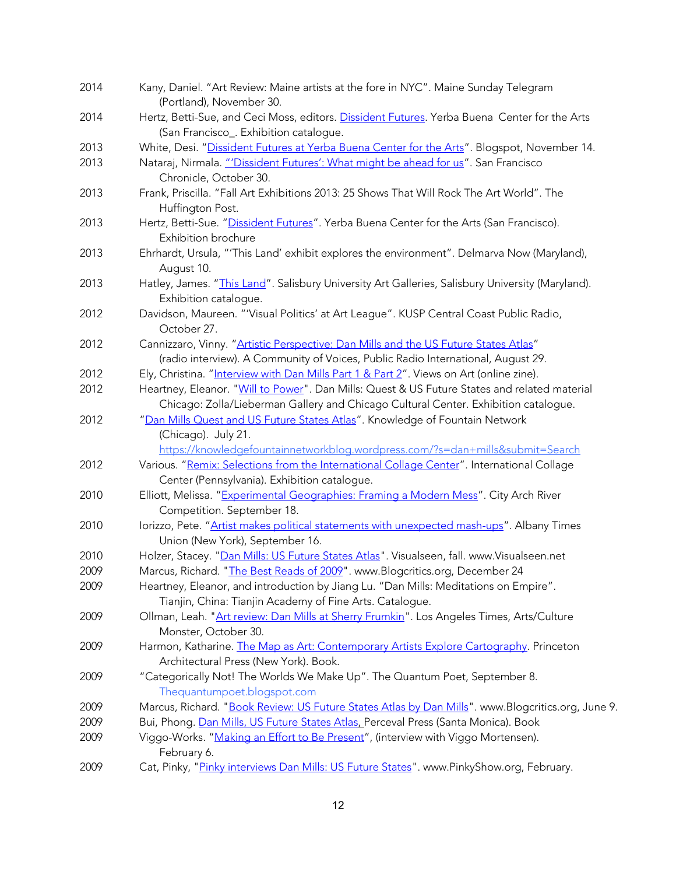| 2014 | Kany, Daniel. "Art Review: Maine artists at the fore in NYC". Maine Sunday Telegram<br>(Portland), November 30. |
|------|-----------------------------------------------------------------------------------------------------------------|
| 2014 | Hertz, Betti-Sue, and Ceci Moss, editors. Dissident Futures. Yerba Buena Center for the Arts                    |
|      | (San Francisco_. Exhibition catalogue.                                                                          |
| 2013 | White, Desi. "Dissident Futures at Yerba Buena Center for the Arts". Blogspot, November 14.                     |
| 2013 | Nataraj, Nirmala. "'Dissident Futures': What might be ahead for us". San Francisco<br>Chronicle, October 30.    |
| 2013 | Frank, Priscilla. "Fall Art Exhibitions 2013: 25 Shows That Will Rock The Art World". The                       |
|      | Huffington Post.                                                                                                |
| 2013 | Hertz, Betti-Sue. "Dissident Futures". Yerba Buena Center for the Arts (San Francisco).                         |
|      | Exhibition brochure                                                                                             |
| 2013 | Ehrhardt, Ursula, "'This Land' exhibit explores the environment". Delmarva Now (Maryland),                      |
|      | August 10.                                                                                                      |
| 2013 | Hatley, James. "This Land". Salisbury University Art Galleries, Salisbury University (Maryland).                |
|      | Exhibition catalogue.                                                                                           |
| 2012 | Davidson, Maureen. "'Visual Politics' at Art League". KUSP Central Coast Public Radio,                          |
|      | October 27.                                                                                                     |
| 2012 | Cannizzaro, Vinny. "Artistic Perspective: Dan Mills and the US Future States Atlas"                             |
|      | (radio interview). A Community of Voices, Public Radio International, August 29.                                |
| 2012 | Ely, Christina. "Interview with Dan Mills Part 1 & Part 2". Views on Art (online zine).                         |
| 2012 | Heartney, Eleanor. "Will to Power". Dan Mills: Quest & US Future States and related material                    |
|      | Chicago: Zolla/Lieberman Gallery and Chicago Cultural Center. Exhibition catalogue.                             |
| 2012 | "Dan Mills Quest and US Future States Atlas". Knowledge of Fountain Network                                     |
|      | (Chicago). July 21.                                                                                             |
|      | https://knowledgefountainnetworkblog.wordpress.com/?s=dan+mills&submit=Search                                   |
| 2012 | Various. "Remix: Selections from the International Collage Center". International Collage                       |
|      | Center (Pennsylvania). Exhibition catalogue.                                                                    |
| 2010 | Elliott, Melissa. "Experimental Geographies: Framing a Modern Mess". City Arch River                            |
|      | Competition. September 18.                                                                                      |
| 2010 | lorizzo, Pete. "Artist makes political statements with unexpected mash-ups". Albany Times                       |
|      | Union (New York), September 16.                                                                                 |
| 2010 | Holzer, Stacey. "Dan Mills: US Future States Atlas". Visualseen, fall. www.Visualseen.net                       |
| 2009 | Marcus, Richard. "The Best Reads of 2009". www.Blogcritics.org, December 24                                     |
| 2009 | Heartney, Eleanor, and introduction by Jiang Lu. "Dan Mills: Meditations on Empire".                            |
|      | Tianjin, China: Tianjin Academy of Fine Arts. Catalogue.                                                        |
| 2009 | Ollman, Leah. "Art review: Dan Mills at Sherry Frumkin". Los Angeles Times, Arts/Culture                        |
|      | Monster, October 30.                                                                                            |
| 2009 | Harmon, Katharine. The Map as Art: Contemporary Artists Explore Cartography. Princeton                          |
|      | Architectural Press (New York). Book.                                                                           |
| 2009 | "Categorically Not! The Worlds We Make Up". The Quantum Poet, September 8.                                      |
|      | Thequantumpoet.blogspot.com                                                                                     |
| 2009 | Marcus, Richard. "Book Review: US Future States Atlas by Dan Mills". www.Blogcritics.org, June 9.               |
| 2009 | Bui, Phong. Dan Mills, US Future States Atlas, Perceval Press (Santa Monica). Book                              |
| 2009 | Viggo-Works. "Making an Effort to Be Present", (interview with Viggo Mortensen).                                |
|      | February 6.                                                                                                     |
| 2009 | Cat, Pinky, "Pinky interviews Dan Mills: US Future States". www.PinkyShow.org, February.                        |
|      |                                                                                                                 |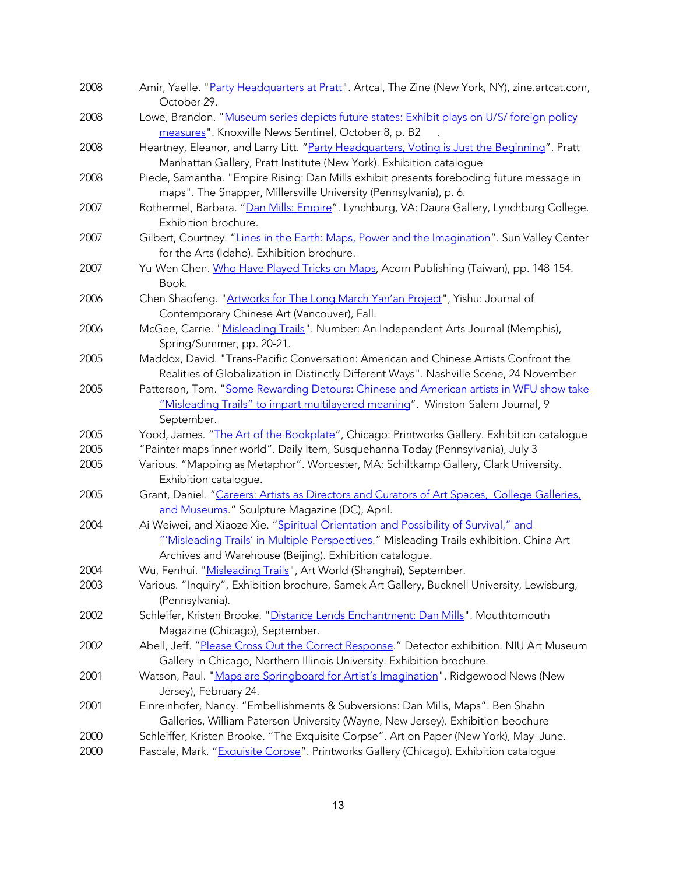| 2008 | Amir, Yaelle. "Party Headquarters at Pratt". Artcal, The Zine (New York, NY), zine.artcat.com,<br>October 29.                                                                                                                             |
|------|-------------------------------------------------------------------------------------------------------------------------------------------------------------------------------------------------------------------------------------------|
| 2008 | Lowe, Brandon. "Museum series depicts future states: Exhibit plays on U/S/ foreign policy<br>measures". Knoxville News Sentinel, October 8, p. B2                                                                                         |
| 2008 | Heartney, Eleanor, and Larry Litt. "Party Headquarters, Voting is Just the Beginning". Pratt<br>Manhattan Gallery, Pratt Institute (New York). Exhibition catalogue                                                                       |
| 2008 | Piede, Samantha. "Empire Rising: Dan Mills exhibit presents foreboding future message in<br>maps". The Snapper, Millersville University (Pennsylvania), p. 6.                                                                             |
| 2007 | Rothermel, Barbara. "Dan Mills: Empire". Lynchburg, VA: Daura Gallery, Lynchburg College.<br>Exhibition brochure.                                                                                                                         |
| 2007 | Gilbert, Courtney. "Lines in the Earth: Maps, Power and the Imagination". Sun Valley Center<br>for the Arts (Idaho). Exhibition brochure.                                                                                                 |
| 2007 | Yu-Wen Chen. Who Have Played Tricks on Maps, Acorn Publishing (Taiwan), pp. 148-154.<br>Book.                                                                                                                                             |
| 2006 | Chen Shaofeng. "Artworks for The Long March Yan'an Project", Yishu: Journal of<br>Contemporary Chinese Art (Vancouver), Fall.                                                                                                             |
| 2006 | McGee, Carrie. "Misleading Trails". Number: An Independent Arts Journal (Memphis),<br>Spring/Summer, pp. 20-21.                                                                                                                           |
| 2005 | Maddox, David. "Trans-Pacific Conversation: American and Chinese Artists Confront the<br>Realities of Globalization in Distinctly Different Ways". Nashville Scene, 24 November                                                           |
| 2005 | Patterson, Tom. "Some Rewarding Detours: Chinese and American artists in WFU show take<br>"Misleading Trails" to impart multilayered meaning". Winston-Salem Journal, 9<br>September.                                                     |
| 2005 | Yood, James. "The Art of the Bookplate", Chicago: Printworks Gallery. Exhibition catalogue                                                                                                                                                |
| 2005 | "Painter maps inner world". Daily Item, Susquehanna Today (Pennsylvania), July 3                                                                                                                                                          |
| 2005 | Various. "Mapping as Metaphor". Worcester, MA: Schiltkamp Gallery, Clark University.<br>Exhibition catalogue.                                                                                                                             |
| 2005 | Grant, Daniel. "Careers: Artists as Directors and Curators of Art Spaces, College Galleries,<br>and Museums." Sculpture Magazine (DC), April.                                                                                             |
| 2004 | Ai Weiwei, and Xiaoze Xie. "Spiritual Orientation and Possibility of Survival," and<br>"'Misleading Trails' in Multiple Perspectives." Misleading Trails exhibition. China Art<br>Archives and Warehouse (Beijing). Exhibition catalogue. |
| 2004 | Wu, Fenhui. "Misleading Trails", Art World (Shanghai), September.                                                                                                                                                                         |
| 2003 | Various. "Inquiry", Exhibition brochure, Samek Art Gallery, Bucknell University, Lewisburg,<br>(Pennsylvania).                                                                                                                            |
| 2002 | Schleifer, Kristen Brooke. "Distance Lends Enchantment: Dan Mills". Mouthtomouth<br>Magazine (Chicago), September.                                                                                                                        |
| 2002 | Abell, Jeff. "Please Cross Out the Correct Response." Detector exhibition. NIU Art Museum<br>Gallery in Chicago, Northern Illinois University. Exhibition brochure.                                                                       |
| 2001 | Watson, Paul. "Maps are Springboard for Artist's Imagination". Ridgewood News (New<br>Jersey), February 24.                                                                                                                               |
| 2001 | Einreinhofer, Nancy. "Embellishments & Subversions: Dan Mills, Maps". Ben Shahn<br>Galleries, William Paterson University (Wayne, New Jersey). Exhibition beochure                                                                        |
| 2000 | Schleiffer, Kristen Brooke. "The Exquisite Corpse". Art on Paper (New York), May-June.                                                                                                                                                    |
| 2000 | Pascale, Mark. "Exquisite Corpse". Printworks Gallery (Chicago). Exhibition catalogue                                                                                                                                                     |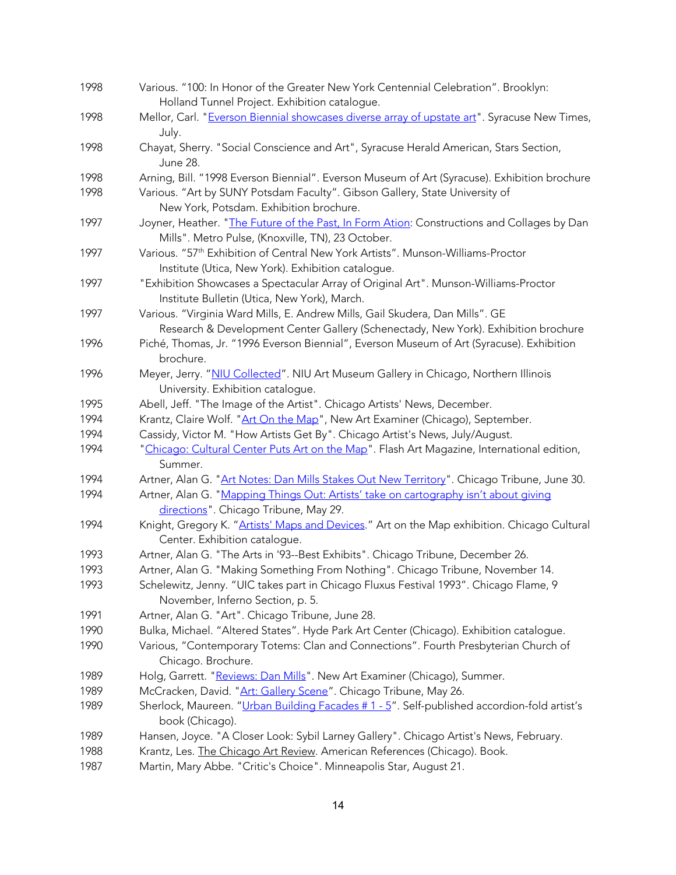| 1998 | Various. "100: In Honor of the Greater New York Centennial Celebration". Brooklyn:                                                                |
|------|---------------------------------------------------------------------------------------------------------------------------------------------------|
|      | Holland Tunnel Project. Exhibition catalogue.                                                                                                     |
| 1998 | Mellor, Carl. "Everson Biennial showcases diverse array of upstate art". Syracuse New Times,                                                      |
|      | July.                                                                                                                                             |
| 1998 | Chayat, Sherry. "Social Conscience and Art", Syracuse Herald American, Stars Section,<br>June 28.                                                 |
| 1998 | Arning, Bill. "1998 Everson Biennial". Everson Museum of Art (Syracuse). Exhibition brochure                                                      |
| 1998 | Various. "Art by SUNY Potsdam Faculty". Gibson Gallery, State University of<br>New York, Potsdam. Exhibition brochure.                            |
| 1997 | Joyner, Heather. "The Future of the Past, In Form Ation: Constructions and Collages by Dan<br>Mills". Metro Pulse, (Knoxville, TN), 23 October.   |
| 1997 | Various. "57 <sup>th</sup> Exhibition of Central New York Artists". Munson-Williams-Proctor<br>Institute (Utica, New York). Exhibition catalogue. |
| 1997 | "Exhibition Showcases a Spectacular Array of Original Art". Munson-Williams-Proctor<br>Institute Bulletin (Utica, New York), March.               |
| 1997 | Various. "Virginia Ward Mills, E. Andrew Mills, Gail Skudera, Dan Mills". GE                                                                      |
|      | Research & Development Center Gallery (Schenectady, New York). Exhibition brochure                                                                |
| 1996 | Piché, Thomas, Jr. "1996 Everson Biennial", Everson Museum of Art (Syracuse). Exhibition<br>brochure.                                             |
| 1996 | Meyer, Jerry. "NIU Collected". NIU Art Museum Gallery in Chicago, Northern Illinois                                                               |
|      | University. Exhibition catalogue.                                                                                                                 |
| 1995 | Abell, Jeff. "The Image of the Artist". Chicago Artists' News, December.                                                                          |
| 1994 | Krantz, Claire Wolf. "Art On the Map", New Art Examiner (Chicago), September.                                                                     |
| 1994 | Cassidy, Victor M. "How Artists Get By". Chicago Artist's News, July/August.                                                                      |
| 1994 | "Chicago: Cultural Center Puts Art on the Map". Flash Art Magazine, International edition,                                                        |
|      | Summer.                                                                                                                                           |
| 1994 | Artner, Alan G. "Art Notes: Dan Mills Stakes Out New Territory". Chicago Tribune, June 30.                                                        |
| 1994 | Artner, Alan G. "Mapping Things Out: Artists' take on cartography isn't about giving<br>directions". Chicago Tribune, May 29.                     |
| 1994 | Knight, Gregory K. "Artists' Maps and Devices." Art on the Map exhibition. Chicago Cultural                                                       |
|      | Center. Exhibition catalogue.                                                                                                                     |
| 1993 | Artner, Alan G. "The Arts in '93--Best Exhibits". Chicago Tribune, December 26.                                                                   |
| 1993 | Artner, Alan G. "Making Something From Nothing". Chicago Tribune, November 14.                                                                    |
| 1993 | Schelewitz, Jenny. "UIC takes part in Chicago Fluxus Festival 1993". Chicago Flame, 9<br>November, Inferno Section, p. 5.                         |
| 1991 | Artner, Alan G. "Art". Chicago Tribune, June 28.                                                                                                  |
| 1990 | Bulka, Michael. "Altered States". Hyde Park Art Center (Chicago). Exhibition catalogue.                                                           |
|      |                                                                                                                                                   |
| 1990 | Various, "Contemporary Totems: Clan and Connections". Fourth Presbyterian Church of<br>Chicago. Brochure.                                         |
| 1989 | Holg, Garrett. "Reviews: Dan Mills". New Art Examiner (Chicago), Summer.                                                                          |
| 1989 | McCracken, David. "Art: Gallery Scene". Chicago Tribune, May 26.                                                                                  |
| 1989 | Sherlock, Maureen. "Urban Building Facades # 1 - 5". Self-published accordion-fold artist's<br>book (Chicago).                                    |
| 1989 | Hansen, Joyce. "A Closer Look: Sybil Larney Gallery". Chicago Artist's News, February.                                                            |
| 1988 | Krantz, Les. The Chicago Art Review. American References (Chicago). Book.                                                                         |
| 1987 | Martin, Mary Abbe. "Critic's Choice". Minneapolis Star, August 21.                                                                                |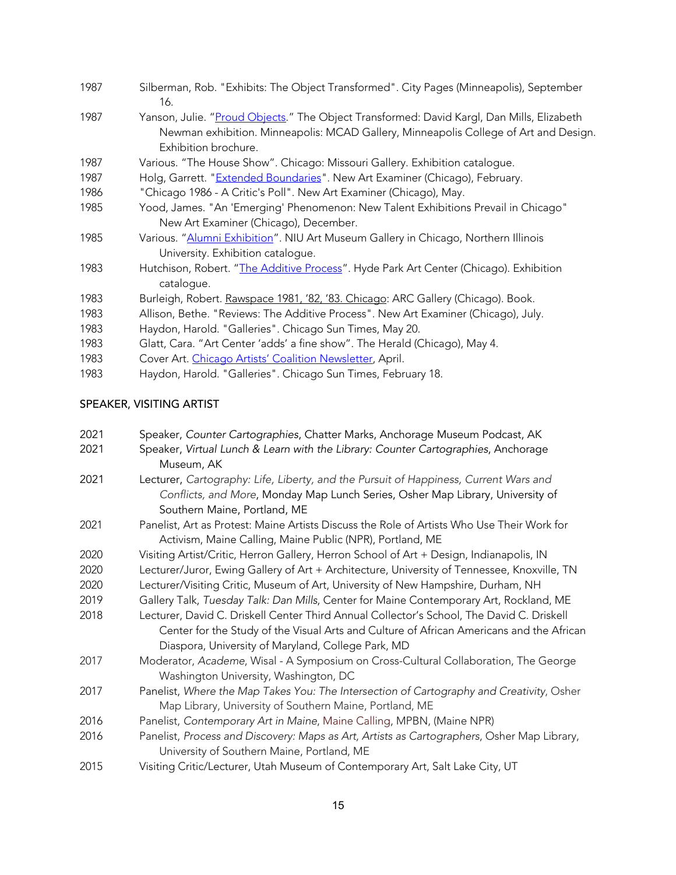| 1987 | Silberman, Rob. "Exhibits: The Object Transformed". City Pages (Minneapolis), September<br>16.                                                                                                            |
|------|-----------------------------------------------------------------------------------------------------------------------------------------------------------------------------------------------------------|
| 1987 | Yanson, Julie. "Proud Objects." The Object Transformed: David Kargl, Dan Mills, Elizabeth<br>Newman exhibition. Minneapolis: MCAD Gallery, Minneapolis College of Art and Design.<br>Exhibition brochure. |
| 1987 | Various. "The House Show". Chicago: Missouri Gallery. Exhibition catalogue.                                                                                                                               |
| 1987 | Holg, Garrett. " <b>Extended Boundaries</b> ". New Art Examiner (Chicago), February.                                                                                                                      |
| 1986 | "Chicago 1986 - A Critic's Poll". New Art Examiner (Chicago), May.                                                                                                                                        |
| 1985 | Yood, James. "An 'Emerging' Phenomenon: New Talent Exhibitions Prevail in Chicago"<br>New Art Examiner (Chicago), December.                                                                               |
| 1985 | Various. "Alumni Exhibition". NIU Art Museum Gallery in Chicago, Northern Illinois<br>University. Exhibition catalogue.                                                                                   |
| 1983 | Hutchison, Robert. "The Additive Process". Hyde Park Art Center (Chicago). Exhibition<br>catalogue.                                                                                                       |
| 1983 | Burleigh, Robert. Rawspace 1981, '82, '83. Chicago: ARC Gallery (Chicago). Book.                                                                                                                          |
| 1983 | Allison, Bethe. "Reviews: The Additive Process". New Art Examiner (Chicago), July.                                                                                                                        |
| 1983 | Haydon, Harold. "Galleries". Chicago Sun Times, May 20.                                                                                                                                                   |
| 1983 | Glatt, Cara. "Art Center 'adds' a fine show". The Herald (Chicago), May 4.                                                                                                                                |
| 1983 | Cover Art. Chicago Artists' Coalition Newsletter, April.                                                                                                                                                  |
| 1983 | Haydon, Harold. "Galleries". Chicago Sun Times, February 18.                                                                                                                                              |
|      |                                                                                                                                                                                                           |

# SPEAKER, VISITING ARTIST

| 2021 | Speaker, Counter Cartographies, Chatter Marks, Anchorage Museum Podcast, AK                 |
|------|---------------------------------------------------------------------------------------------|
| 2021 | Speaker, Virtual Lunch & Learn with the Library: Counter Cartographies, Anchorage           |
|      | Museum, AK                                                                                  |
| 2021 | Lecturer, Cartography: Life, Liberty, and the Pursuit of Happiness, Current Wars and        |
|      | Conflicts, and More, Monday Map Lunch Series, Osher Map Library, University of              |
|      | Southern Maine, Portland, ME                                                                |
| 2021 | Panelist, Art as Protest: Maine Artists Discuss the Role of Artists Who Use Their Work for  |
|      | Activism, Maine Calling, Maine Public (NPR), Portland, ME                                   |
| 2020 | Visiting Artist/Critic, Herron Gallery, Herron School of Art + Design, Indianapolis, IN     |
| 2020 | Lecturer/Juror, Ewing Gallery of Art + Architecture, University of Tennessee, Knoxville, TN |
| 2020 | Lecturer/Visiting Critic, Museum of Art, University of New Hampshire, Durham, NH            |
| 2019 | Gallery Talk, Tuesday Talk: Dan Mills, Center for Maine Contemporary Art, Rockland, ME      |
| 2018 | Lecturer, David C. Driskell Center Third Annual Collector's School, The David C. Driskell   |
|      | Center for the Study of the Visual Arts and Culture of African Americans and the African    |
|      | Diaspora, University of Maryland, College Park, MD                                          |
| 2017 | Moderator, Academe, Wisal - A Symposium on Cross-Cultural Collaboration, The George         |
|      | Washington University, Washington, DC                                                       |
| 2017 | Panelist, Where the Map Takes You: The Intersection of Cartography and Creativity, Osher    |
|      | Map Library, University of Southern Maine, Portland, ME                                     |
| 2016 | Panelist, Contemporary Art in Maine, Maine Calling, MPBN, (Maine NPR)                       |
| 2016 | Panelist, Process and Discovery: Maps as Art, Artists as Cartographers, Osher Map Library,  |
|      | University of Southern Maine, Portland, ME                                                  |
| 2015 | Visiting Critic/Lecturer, Utah Museum of Contemporary Art, Salt Lake City, UT               |
|      |                                                                                             |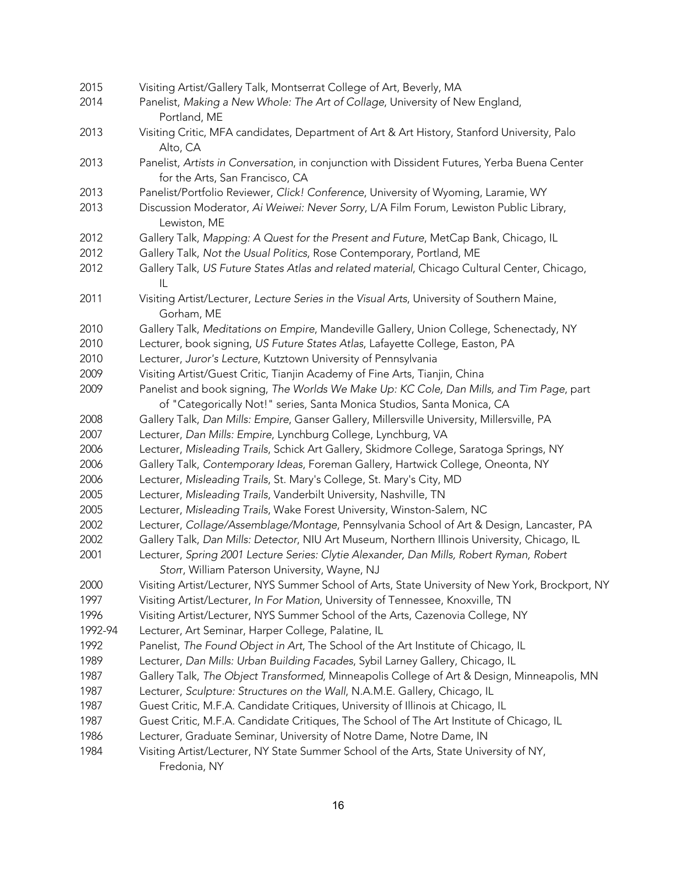| 2015    | Visiting Artist/Gallery Talk, Montserrat College of Art, Beverly, MA                                                                                               |
|---------|--------------------------------------------------------------------------------------------------------------------------------------------------------------------|
| 2014    | Panelist, Making a New Whole: The Art of Collage, University of New England,<br>Portland, ME                                                                       |
| 2013    | Visiting Critic, MFA candidates, Department of Art & Art History, Stanford University, Palo<br>Alto, CA                                                            |
| 2013    | Panelist, Artists in Conversation, in conjunction with Dissident Futures, Yerba Buena Center<br>for the Arts, San Francisco, CA                                    |
| 2013    | Panelist/Portfolio Reviewer, Click! Conference, University of Wyoming, Laramie, WY                                                                                 |
| 2013    | Discussion Moderator, Ai Weiwei: Never Sorry, L/A Film Forum, Lewiston Public Library,<br>Lewiston, ME                                                             |
| 2012    | Gallery Talk, Mapping: A Quest for the Present and Future, MetCap Bank, Chicago, IL                                                                                |
| 2012    | Gallery Talk, Not the Usual Politics, Rose Contemporary, Portland, ME                                                                                              |
| 2012    | Gallery Talk, US Future States Atlas and related material, Chicago Cultural Center, Chicago,<br>IL                                                                 |
| 2011    | Visiting Artist/Lecturer, Lecture Series in the Visual Arts, University of Southern Maine,<br>Gorham, ME                                                           |
| 2010    | Gallery Talk, Meditations on Empire, Mandeville Gallery, Union College, Schenectady, NY                                                                            |
| 2010    | Lecturer, book signing, US Future States Atlas, Lafayette College, Easton, PA                                                                                      |
| 2010    | Lecturer, Juror's Lecture, Kutztown University of Pennsylvania                                                                                                     |
| 2009    | Visiting Artist/Guest Critic, Tianjin Academy of Fine Arts, Tianjin, China                                                                                         |
| 2009    | Panelist and book signing, The Worlds We Make Up: KC Cole, Dan Mills, and Tim Page, part<br>of "Categorically Not!" series, Santa Monica Studios, Santa Monica, CA |
| 2008    | Gallery Talk, Dan Mills: Empire, Ganser Gallery, Millersville University, Millersville, PA                                                                         |
| 2007    | Lecturer, Dan Mills: Empire, Lynchburg College, Lynchburg, VA                                                                                                      |
| 2006    | Lecturer, Misleading Trails, Schick Art Gallery, Skidmore College, Saratoga Springs, NY                                                                            |
| 2006    | Gallery Talk, Contemporary Ideas, Foreman Gallery, Hartwick College, Oneonta, NY                                                                                   |
| 2006    | Lecturer, Misleading Trails, St. Mary's College, St. Mary's City, MD                                                                                               |
| 2005    | Lecturer, Misleading Trails, Vanderbilt University, Nashville, TN                                                                                                  |
| 2005    | Lecturer, Misleading Trails, Wake Forest University, Winston-Salem, NC                                                                                             |
| 2002    | Lecturer, Collage/Assemblage/Montage, Pennsylvania School of Art & Design, Lancaster, PA                                                                           |
| 2002    | Gallery Talk, Dan Mills: Detector, NIU Art Museum, Northern Illinois University, Chicago, IL                                                                       |
| 2001    | Lecturer, Spring 2001 Lecture Series: Clytie Alexander, Dan Mills, Robert Ryman, Robert<br>Storr, William Paterson University, Wayne, NJ                           |
| 2000    | Visiting Artist/Lecturer, NYS Summer School of Arts, State University of New York, Brockport, NY                                                                   |
| 1997    | Visiting Artist/Lecturer, In For Mation, University of Tennessee, Knoxville, TN                                                                                    |
| 1996    | Visiting Artist/Lecturer, NYS Summer School of the Arts, Cazenovia College, NY                                                                                     |
| 1992-94 | Lecturer, Art Seminar, Harper College, Palatine, IL                                                                                                                |
| 1992    | Panelist, The Found Object in Art, The School of the Art Institute of Chicago, IL                                                                                  |
| 1989    | Lecturer, Dan Mills: Urban Building Facades, Sybil Larney Gallery, Chicago, IL                                                                                     |
| 1987    | Gallery Talk, The Object Transformed, Minneapolis College of Art & Design, Minneapolis, MN                                                                         |
| 1987    | Lecturer, Sculpture: Structures on the Wall, N.A.M.E. Gallery, Chicago, IL                                                                                         |
| 1987    | Guest Critic, M.F.A. Candidate Critiques, University of Illinois at Chicago, IL                                                                                    |
| 1987    | Guest Critic, M.F.A. Candidate Critiques, The School of The Art Institute of Chicago, IL                                                                           |
| 1986    | Lecturer, Graduate Seminar, University of Notre Dame, Notre Dame, IN                                                                                               |
| 1984    | Visiting Artist/Lecturer, NY State Summer School of the Arts, State University of NY,<br>Fredonia, NY                                                              |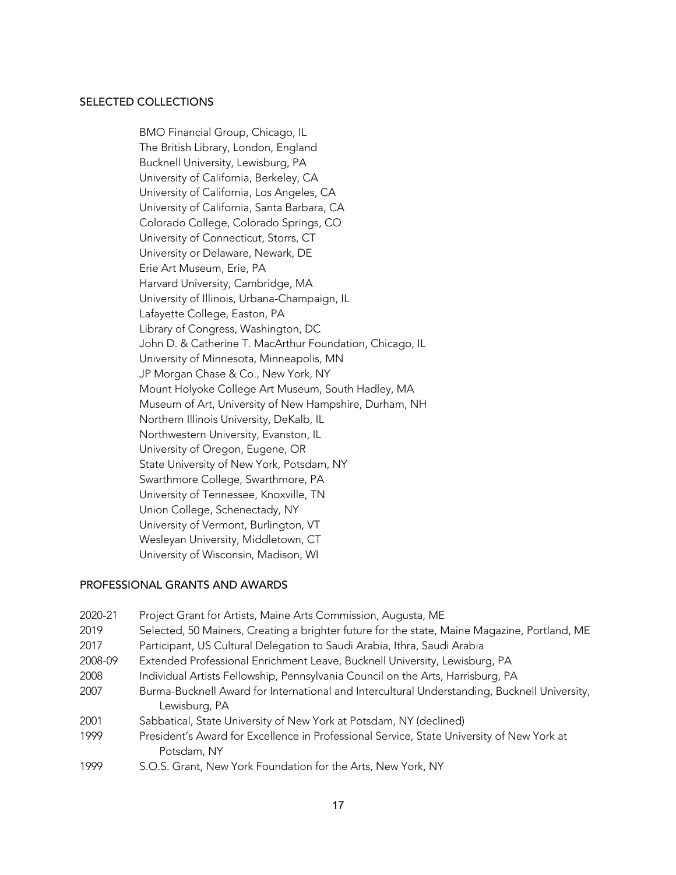#### SELECTED COLLECTIONS

BMO Financial Group, Chicago, IL The British Library, London, England Bucknell University, Lewisburg, PA University of California, Berkeley, CA University of California, Los Angeles, CA University of California, Santa Barbara, CA Colorado College, Colorado Springs, CO University of Connecticut, Storrs, CT University or Delaware, Newark, DE Erie Art Museum, Erie, PA Harvard University, Cambridge, MA University of Illinois, Urbana-Champaign, IL Lafayette College, Easton, PA Library of Congress, Washington, DC John D. & Catherine T. MacArthur Foundation, Chicago, IL University of Minnesota, Minneapolis, MN JP Morgan Chase & Co., New York, NY Mount Holyoke College Art Museum, South Hadley, MA Museum of Art, University of New Hampshire, Durham, NH Northern Illinois University, DeKalb, IL Northwestern University, Evanston, IL University of Oregon, Eugene, OR State University of New York, Potsdam, NY Swarthmore College, Swarthmore, PA University of Tennessee, Knoxville, TN Union College, Schenectady, NY University of Vermont, Burlington, VT Wesleyan University, Middletown, CT University of Wisconsin, Madison, WI

#### PROFESSIONAL GRANTS AND AWARDS

| 2020-21 | Project Grant for Artists, Maine Arts Commission, Augusta, ME                                                 |
|---------|---------------------------------------------------------------------------------------------------------------|
| 2019    | Selected, 50 Mainers, Creating a brighter future for the state, Maine Magazine, Portland, ME                  |
| 2017    | Participant, US Cultural Delegation to Saudi Arabia, Ithra, Saudi Arabia                                      |
| 2008-09 | Extended Professional Enrichment Leave, Bucknell University, Lewisburg, PA                                    |
| 2008    | Individual Artists Fellowship, Pennsylvania Council on the Arts, Harrisburg, PA                               |
| 2007    | Burma-Bucknell Award for International and Intercultural Understanding, Bucknell University,<br>Lewisburg, PA |
| 2001    | Sabbatical, State University of New York at Potsdam, NY (declined)                                            |
| 1999    | President's Award for Excellence in Professional Service, State University of New York at                     |
|         | Potsdam, NY                                                                                                   |
| 1999    | S.O.S. Grant, New York Foundation for the Arts, New York, NY                                                  |